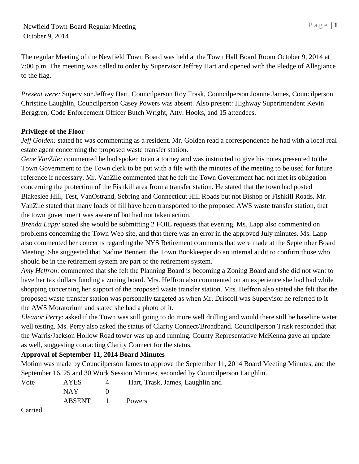The regular Meeting of the Newfield Town Board was held at the Town Hall Board Room October 9, 2014 at 7:00 p.m. The meeting was called to order by Supervisor Jeffrey Hart and opened with the Pledge of Allegiance to the flag.

*Present were:* Supervisor Jeffrey Hart, Councilperson Roy Trask, Councilperson Joanne James, Councilperson Christine Laughlin, Councilperson Casey Powers was absent. Also present: Highway Superintendent Kevin Berggren, Code Enforcement Officer Butch Wright, Atty. Hooks, and 15 attendees.

## **Privilege of the Floor**

*Jeff Golden:* stated he was commenting as a resident. Mr. Golden read a correspondence he had with a local real estate agent concerning the proposed waste transfer station.

*Gene VanZile:* commented he had spoken to an attorney and was instructed to give his notes presented to the Town Government to the Town clerk to be put with a file with the minutes of the meeting to be used for future reference if necessary. Mr. VanZile commented that he felt the Town Government had not met its obligation concerning the protection of the Fishkill area from a transfer station. He stated that the town had posted Blakeslee Hill, Test, VanOstrand, Sebring and Connecticut Hill Roads but not Bishop or Fishkill Roads. Mr. VanZile stated that many loads of fill have been transported to the proposed AWS waste transfer station, that the town government was aware of but had not taken action.

*Brenda Lapp:* stated she would be submitting 2 FOIL requests that evening. Ms. Lapp also commented on problems concerning the Town Web site, and that there was an error in the approved July minutes. Ms. Lapp also commented her concerns regarding the NYS Retirement comments that were made at the September Board Meeting. She suggested that Nadine Bennett, the Town Bookkeeper do an internal audit to confirm those who should be in the retirement system are part of the retirement system.

*Amy Heffron*: commented that she felt the Planning Board is becoming a Zoning Board and she did not want to have her tax dollars funding a zoning board. Mrs. Heffron also commented on an experience she had had while shopping concerning her support of the proposed waste transfer station. Mrs. Heffron also stated she felt that the proposed waste transfer station was personally targeted as when Mr. Driscoll was Supervisor he referred to it the AWS Moratorium and stated she had a photo of it.

*Eleanor Perry*: asked if the Town was still going to do more well drilling and would there still be baseline water well testing. Ms. Perry also asked the status of Clarity Connect/Broadband. Councilperson Trask responded that the Warris/Jackson Hollow Road tower was up and running. County Representative McKenna gave an update as well, suggesting contacting Clarity Connect for the status.

# **Approval of September 11, 2014 Board Minutes**

Motion was made by Councilperson James to approve the September 11, 2014 Board Meeting Minutes, and the September 16, 25 and 30 Work Session Minutes, seconded by Councilperson Laughlin.

| Vote   | <b>AYES</b> | $\Delta$                   | Hart, Trask, James, Laughlin and |
|--------|-------------|----------------------------|----------------------------------|
|        | NAY.        |                            |                                  |
|        | ABSENT      | and the state of the state | <b>Powers</b>                    |
| $\sim$ |             |                            |                                  |

Carried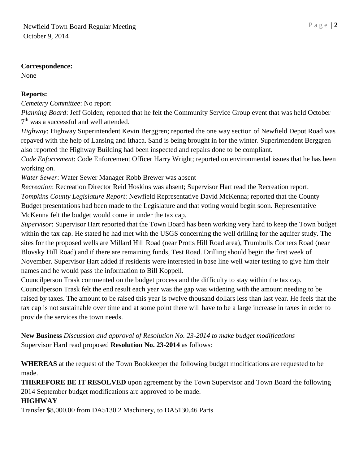#### **Correspondence:**

None

## **Reports:**

*Cemetery Committee*: No report

*Planning Board*: Jeff Golden; reported that he felt the Community Service Group event that was held October 7<sup>th</sup> was a successful and well attended.

*Highway*: Highway Superintendent Kevin Berggren; reported the one way section of Newfield Depot Road was repaved with the help of Lansing and Ithaca. Sand is being brought in for the winter. Superintendent Berggren also reported the Highway Building had been inspected and repairs done to be compliant.

*Code Enforcement*: Code Enforcement Officer Harry Wright; reported on environmental issues that he has been working on.

*Water Sewer*: Water Sewer Manager Robb Brewer was absent

*Recreation*: Recreation Director Reid Hoskins was absent; Supervisor Hart read the Recreation report. *Tompkins County Legislature Report*: Newfield Representative David McKenna; reported that the County Budget presentations had been made to the Legislature and that voting would begin soon. Representative McKenna felt the budget would come in under the tax cap.

*Supervisor*: Supervisor Hart reported that the Town Board has been working very hard to keep the Town budget within the tax cap. He stated he had met with the USGS concerning the well drilling for the aquifer study. The sites for the proposed wells are Millard Hill Road (near Protts Hill Road area), Trumbulls Corners Road (near Blovsky Hill Road) and if there are remaining funds, Test Road. Drilling should begin the first week of November. Supervisor Hart added if residents were interested in base line well water testing to give him their names and he would pass the information to Bill Koppell.

Councilperson Trask commented on the budget process and the difficulty to stay within the tax cap. Councilperson Trask felt the end result each year was the gap was widening with the amount needing to be raised by taxes. The amount to be raised this year is twelve thousand dollars less than last year. He feels that the tax cap is not sustainable over time and at some point there will have to be a large increase in taxes in order to provide the services the town needs.

**New Business** *Discussion and approval of Resolution No. 23-2014 to make budget modifications* Supervisor Hard read proposed **Resolution No. 23-2014** as follows:

**WHEREAS** at the request of the Town Bookkeeper the following budget modifications are requested to be made.

**THEREFORE BE IT RESOLVED** upon agreement by the Town Supervisor and Town Board the following 2014 September budget modifications are approved to be made.

## **HIGHWAY**

Transfer \$8,000.00 from DA5130.2 Machinery, to DA5130.46 Parts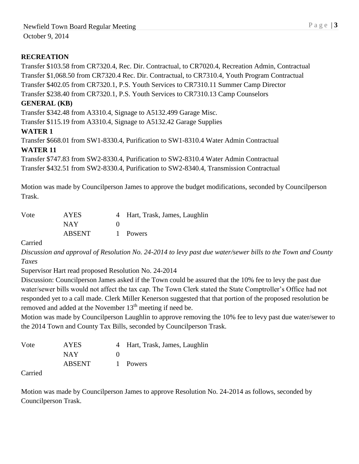## **RECREATION**

Transfer \$103.58 from CR7320.4, Rec. Dir. Contractual, to CR7020.4, Recreation Admin, Contractual Transfer \$1,068.50 from CR7320.4 Rec. Dir. Contractual, to CR7310.4, Youth Program Contractual Transfer \$402.05 from CR7320.1, P.S. Youth Services to CR7310.11 Summer Camp Director Transfer \$238.40 from CR7320.1, P.S. Youth Services to CR7310.13 Camp Counselors

### **GENERAL (KB)**

Transfer \$342.48 from A3310.4, Signage to A5132.499 Garage Misc.

Transfer \$115.19 from A3310.4, Signage to A5132.42 Garage Supplies

#### **WATER 1**

Transfer \$668.01 from SW1-8330.4, Purification to SW1-8310.4 Water Admin Contractual **WATER 11**

Transfer \$747.83 from SW2-8330.4, Purification to SW2-8310.4 Water Admin Contractual Transfer \$432.51 from SW2-8330.4, Purification to SW2-8340.4, Transmission Contractual

Motion was made by Councilperson James to approve the budget modifications, seconded by Councilperson Trask.

| Vote | <b>AYES</b>   | 4 Hart, Trask, James, Laughlin |
|------|---------------|--------------------------------|
|      | NAY           |                                |
|      | <b>ABSENT</b> | 1 Powers                       |

Carried

*Discussion and approval of Resolution No. 24-2014 to levy past due water/sewer bills to the Town and County Taxes*

Supervisor Hart read proposed Resolution No. 24-2014

Discussion: Councilperson James asked if the Town could be assured that the 10% fee to levy the past due water/sewer bills would not affect the tax cap. The Town Clerk stated the State Comptroller's Office had not responded yet to a call made. Clerk Miller Kenerson suggested that that portion of the proposed resolution be removed and added at the November 13<sup>th</sup> meeting if need be.

Motion was made by Councilperson Laughlin to approve removing the 10% fee to levy past due water/sewer to the 2014 Town and County Tax Bills, seconded by Councilperson Trask.

| Vote | AYES          | 4 Hart, Trask, James, Laughlin |
|------|---------------|--------------------------------|
|      | NAY.          |                                |
|      | <b>ABSENT</b> | 1 Powers                       |

Carried

Motion was made by Councilperson James to approve Resolution No. 24-2014 as follows, seconded by Councilperson Trask.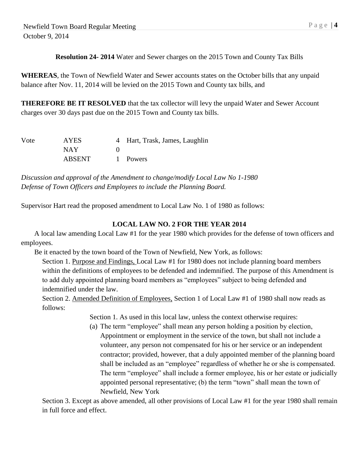**Resolution 24- 2014** Water and Sewer charges on the 2015 Town and County Tax Bills

**WHEREAS**, the Town of Newfield Water and Sewer accounts states on the October bills that any unpaid balance after Nov. 11, 2014 will be levied on the 2015 Town and County tax bills, and

**THEREFORE BE IT RESOLVED** that the tax collector will levy the unpaid Water and Sewer Account charges over 30 days past due on the 2015 Town and County tax bills.

| Vote | <b>AYES</b>   | 4 Hart, Trask, James, Laughlin |
|------|---------------|--------------------------------|
|      | NAY.          |                                |
|      | <b>ABSENT</b> | 1 Powers                       |

*Discussion and approval of the Amendment to change/modify Local Law No 1-1980 Defense of Town Officers and Employees to include the Planning Board.*

Supervisor Hart read the proposed amendment to Local Law No. 1 of 1980 as follows:

### **LOCAL LAW NO. 2 FOR THE YEAR 2014**

A local law amending Local Law #1 for the year 1980 which provides for the defense of town officers and employees.

Be it enacted by the town board of the Town of Newfield, New York, as follows:

Section 1. Purpose and Findings, Local Law #1 for 1980 does not include planning board members within the definitions of employees to be defended and indemnified. The purpose of this Amendment is to add duly appointed planning board members as "employees" subject to being defended and indemnified under the law.

Section 2. Amended Definition of Employees, Section 1 of Local Law #1 of 1980 shall now reads as follows:

Section 1. As used in this local law, unless the context otherwise requires:

(a) The term "employee" shall mean any person holding a position by election, Appointment or employment in the service of the town, but shall not include a volunteer, any person not compensated for his or her service or an independent contractor; provided, however, that a duly appointed member of the planning board shall be included as an "employee" regardless of whether he or she is compensated. The term "employee" shall include a former employee, his or her estate or judicially appointed personal representative; (b) the term "town" shall mean the town of Newfield, New York

Section 3. Except as above amended, all other provisions of Local Law #1 for the year 1980 shall remain in full force and effect.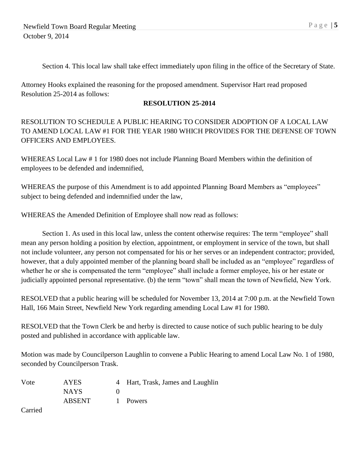Section 4. This local law shall take effect immediately upon filing in the office of the Secretary of State.

Attorney Hooks explained the reasoning for the proposed amendment. Supervisor Hart read proposed Resolution 25-2014 as follows:

### **RESOLUTION 25-2014**

## RESOLUTION TO SCHEDULE A PUBLIC HEARING TO CONSIDER ADOPTION OF A LOCAL LAW TO AMEND LOCAL LAW #1 FOR THE YEAR 1980 WHICH PROVIDES FOR THE DEFENSE OF TOWN OFFICERS AND EMPLOYEES.

WHEREAS Local Law # 1 for 1980 does not include Planning Board Members within the definition of employees to be defended and indemnified,

WHEREAS the purpose of this Amendment is to add appointed Planning Board Members as "employees" subject to being defended and indemnified under the law,

WHEREAS the Amended Definition of Employee shall now read as follows:

Section 1. As used in this local law, unless the content otherwise requires: The term "employee" shall mean any person holding a position by election, appointment, or employment in service of the town, but shall not include volunteer, any person not compensated for his or her serves or an independent contractor; provided, however, that a duly appointed member of the planning board shall be included as an "employee" regardless of whether he or she is compensated the term "employee" shall include a former employee, his or her estate or judicially appointed personal representative. (b) the term "town" shall mean the town of Newfield, New York.

RESOLVED that a public hearing will be scheduled for November 13, 2014 at 7:00 p.m. at the Newfield Town Hall, 166 Main Street, Newfield New York regarding amending Local Law #1 for 1980.

RESOLVED that the Town Clerk be and herby is directed to cause notice of such public hearing to be duly posted and published in accordance with applicable law.

Motion was made by Councilperson Laughlin to convene a Public Hearing to amend Local Law No. 1 of 1980, seconded by Councilperson Trask.

| Vote | <b>AYES</b>   | 4 Hart, Trask, James and Laughlin |
|------|---------------|-----------------------------------|
|      | <b>NAYS</b>   |                                   |
|      | <b>ABSENT</b> | 1 Powers                          |
| __   |               |                                   |

Carried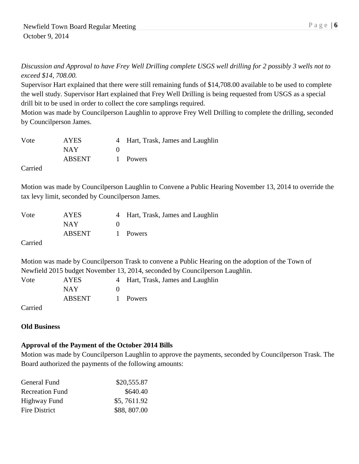*Discussion and Approval to have Frey Well Drilling complete USGS well drilling for 2 possibly 3 wells not to exceed \$14, 708.00.*

Supervisor Hart explained that there were still remaining funds of \$14,708.00 available to be used to complete the well study. Supervisor Hart explained that Frey Well Drilling is being requested from USGS as a special drill bit to be used in order to collect the core samplings required.

Motion was made by Councilperson Laughlin to approve Frey Well Drilling to complete the drilling, seconded by Councilperson James.

| Vote | AYES       | 4 Hart, Trask, James and Laughlin |
|------|------------|-----------------------------------|
|      | <b>NAY</b> |                                   |
|      | ABSENT     | 1 Powers                          |

Carried

Motion was made by Councilperson Laughlin to Convene a Public Hearing November 13, 2014 to override the tax levy limit, seconded by Councilperson James.

| Vote    | <b>AYES</b> | 4 Hart, Trask, James and Laughlin |
|---------|-------------|-----------------------------------|
|         | <b>NAY</b>  |                                   |
|         | ABSENT      | 1 Powers                          |
| Carried |             |                                   |

Motion was made by Councilperson Trask to convene a Public Hearing on the adoption of the Town of Newfield 2015 budget November 13, 2014, seconded by Councilperson Laughlin.

| Vote    | <b>AYES</b> | 4 Hart, Trask, James and Laughlin |
|---------|-------------|-----------------------------------|
|         | NAY.        |                                   |
|         | ABSENT      | 1 Powers                          |
| Carried |             |                                   |

# **Old Business**

#### **Approval of the Payment of the October 2014 Bills**

Motion was made by Councilperson Laughlin to approve the payments, seconded by Councilperson Trask. The Board authorized the payments of the following amounts:

| General Fund           | \$20,555.87 |
|------------------------|-------------|
| <b>Recreation Fund</b> | \$640.40    |
| Highway Fund           | \$5,7611.92 |
| Fire District          | \$88,807.00 |